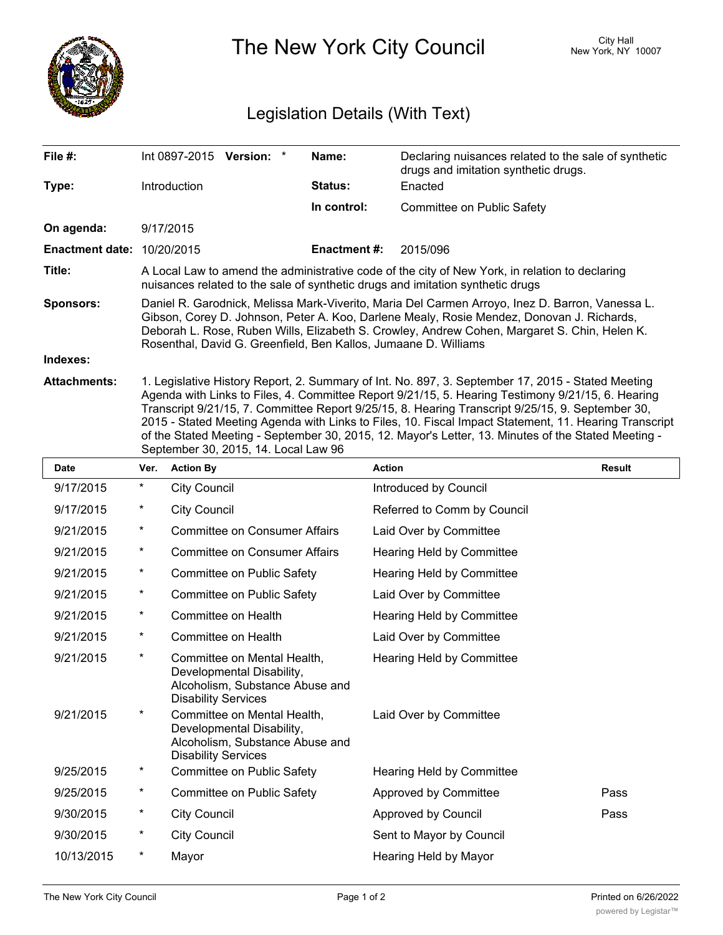

The New York City Council New York, NY 10007

## Legislation Details (With Text)

| File #:                           | Int 0897-2015<br>Version: *                                                                                                                                                                                                                                                                                                                                                                                         | Name:          | Declaring nuisances related to the sale of synthetic<br>drugs and imitation synthetic drugs. |  |  |  |
|-----------------------------------|---------------------------------------------------------------------------------------------------------------------------------------------------------------------------------------------------------------------------------------------------------------------------------------------------------------------------------------------------------------------------------------------------------------------|----------------|----------------------------------------------------------------------------------------------|--|--|--|
| Type:                             | <b>Introduction</b>                                                                                                                                                                                                                                                                                                                                                                                                 | <b>Status:</b> | Enacted                                                                                      |  |  |  |
|                                   |                                                                                                                                                                                                                                                                                                                                                                                                                     | In control:    | Committee on Public Safety                                                                   |  |  |  |
| On agenda:                        | 9/17/2015                                                                                                                                                                                                                                                                                                                                                                                                           |                |                                                                                              |  |  |  |
| <b>Enactment date: 10/20/2015</b> |                                                                                                                                                                                                                                                                                                                                                                                                                     | Enactment #:   | 2015/096                                                                                     |  |  |  |
| Title:                            | A Local Law to amend the administrative code of the city of New York, in relation to declaring<br>nuisances related to the sale of synthetic drugs and imitation synthetic drugs                                                                                                                                                                                                                                    |                |                                                                                              |  |  |  |
| <b>Sponsors:</b>                  | Daniel R. Garodnick, Melissa Mark-Viverito, Maria Del Carmen Arroyo, Inez D. Barron, Vanessa L.<br>Gibson, Corey D. Johnson, Peter A. Koo, Darlene Mealy, Rosie Mendez, Donovan J. Richards,<br>Deborah L. Rose, Ruben Wills, Elizabeth S. Crowley, Andrew Cohen, Margaret S. Chin, Helen K.<br>Rosenthal, David G. Greenfield, Ben Kallos, Jumaane D. Williams                                                     |                |                                                                                              |  |  |  |
| Indexes:                          |                                                                                                                                                                                                                                                                                                                                                                                                                     |                |                                                                                              |  |  |  |
| <b>Attachments:</b>               | 1. Legislative History Report, 2. Summary of Int. No. 897, 3. September 17, 2015 - Stated Meeting<br>Agenda with Links to Files, 4. Committee Report 9/21/15, 5. Hearing Testimony 9/21/15, 6. Hearing<br>Transcript 9/21/15, 7. Committee Report 9/25/15, 8. Hearing Transcript 9/25/15, 9. September 30,<br>2015 - Stated Meeting Agenda with Links to Files, 10. Fiscal Impact Statement, 11. Hearing Transcript |                |                                                                                              |  |  |  |

of the Stated Meeting - September 30, 2015, 12. Mayor's Letter, 13. Minutes of the Stated Meeting -

|             |            | September 30, 2015, 14. Local Law 96                                                                                      |                                  |               |  |  |
|-------------|------------|---------------------------------------------------------------------------------------------------------------------------|----------------------------------|---------------|--|--|
| <b>Date</b> | Ver.       | <b>Action By</b>                                                                                                          | <b>Action</b>                    | <b>Result</b> |  |  |
| 9/17/2015   | $^{\star}$ | <b>City Council</b>                                                                                                       | Introduced by Council            |               |  |  |
| 9/17/2015   | $^\star$   | <b>City Council</b>                                                                                                       | Referred to Comm by Council      |               |  |  |
| 9/21/2015   | $\star$    | <b>Committee on Consumer Affairs</b>                                                                                      | Laid Over by Committee           |               |  |  |
| 9/21/2015   | $^\star$   | <b>Committee on Consumer Affairs</b>                                                                                      | <b>Hearing Held by Committee</b> |               |  |  |
| 9/21/2015   | $\star$    | Committee on Public Safety                                                                                                | <b>Hearing Held by Committee</b> |               |  |  |
| 9/21/2015   | $^{\star}$ | Committee on Public Safety                                                                                                | Laid Over by Committee           |               |  |  |
| 9/21/2015   | $^{\star}$ | Committee on Health                                                                                                       | Hearing Held by Committee        |               |  |  |
| 9/21/2015   | $^\star$   | Committee on Health                                                                                                       | Laid Over by Committee           |               |  |  |
| 9/21/2015   | $^\star$   | Committee on Mental Health,<br>Developmental Disability,<br>Alcoholism, Substance Abuse and<br><b>Disability Services</b> | Hearing Held by Committee        |               |  |  |
| 9/21/2015   | $^\star$   | Committee on Mental Health,<br>Developmental Disability,<br>Alcoholism, Substance Abuse and<br><b>Disability Services</b> | Laid Over by Committee           |               |  |  |
| 9/25/2015   | *          | Committee on Public Safety                                                                                                | Hearing Held by Committee        |               |  |  |
| 9/25/2015   | $^{\star}$ | Committee on Public Safety                                                                                                | Approved by Committee            | Pass          |  |  |
| 9/30/2015   | $^\star$   | <b>City Council</b>                                                                                                       | Approved by Council              | Pass          |  |  |
| 9/30/2015   | $\ast$     | <b>City Council</b>                                                                                                       | Sent to Mayor by Council         |               |  |  |
| 10/13/2015  | $^\star$   | Mayor                                                                                                                     | Hearing Held by Mayor            |               |  |  |